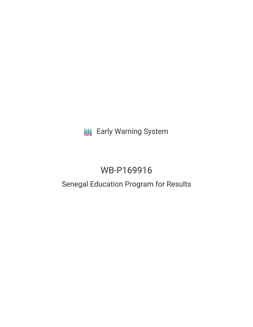**III** Early Warning System

# WB-P169916

## Senegal Education Program for Results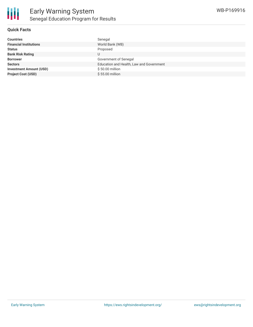

#### **Quick Facts**

| <b>Countries</b>               | Senegal                                  |
|--------------------------------|------------------------------------------|
| <b>Financial Institutions</b>  | World Bank (WB)                          |
| <b>Status</b>                  | Proposed                                 |
| <b>Bank Risk Rating</b>        |                                          |
| <b>Borrower</b>                | Government of Senegal                    |
| <b>Sectors</b>                 | Education and Health, Law and Government |
| <b>Investment Amount (USD)</b> | \$50.00 million                          |
| <b>Project Cost (USD)</b>      | \$55.00 million                          |
|                                |                                          |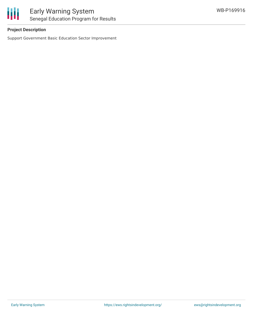

### **Project Description**

Support Government Basic Education Sector Improvement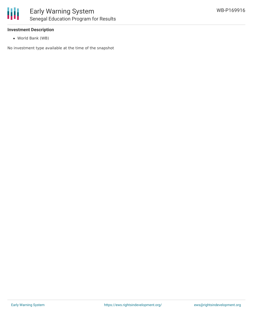

#### **Investment Description**

World Bank (WB)

No investment type available at the time of the snapshot